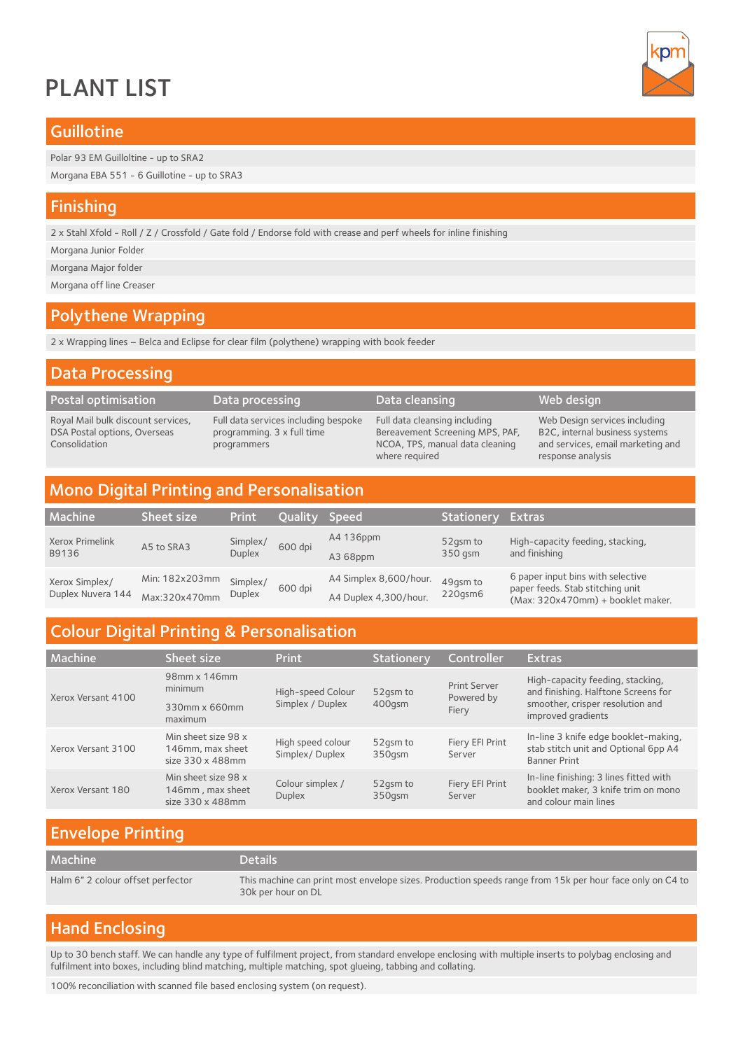# PLANT LIST



#### **Guillotine**

Polar 93 EM Guilloltine - up to SRA2

Morgana EBA 551 - 6 Guillotine - up to SRA3

#### Finishing

2 x Stahl Xfold - Roll / Z / Crossfold / Gate fold / Endorse fold with crease and perf wheels for inline finishing

Morgana Junior Folder

Morgana Major folder

Morgana off line Creaser

## Polythene Wrapping

2 x Wrapping lines – Belca and Eclipse for clear film (polythene) wrapping with book feeder

| <b>Data Processing</b>                                                              |                                                                                   |                                                                                                                       |                                                                                                                           |  |  |
|-------------------------------------------------------------------------------------|-----------------------------------------------------------------------------------|-----------------------------------------------------------------------------------------------------------------------|---------------------------------------------------------------------------------------------------------------------------|--|--|
| Postal optimisation                                                                 | Data processing                                                                   | Data cleansing                                                                                                        | Web design                                                                                                                |  |  |
| Royal Mail bulk discount services,<br>DSA Postal options, Overseas<br>Consolidation | Full data services including bespoke<br>programming. 3 x full time<br>programmers | Full data cleansing including<br>Bereavement Screening MPS, PAF,<br>NCOA, TPS, manual data cleaning<br>where required | Web Design services including<br>B2C, internal business systems<br>and services, email marketing and<br>response analysis |  |  |
|                                                                                     |                                                                                   |                                                                                                                       |                                                                                                                           |  |  |
| <b>Mono Digital Printing and Personalisation</b>                                    |                                                                                   |                                                                                                                       |                                                                                                                           |  |  |

#### Machine Sheet size Print Quality Speed Stationery Extras Xerox Primelink B9136 A5 to SRA3 Simplex/ Simplex/ 600 dpi<br>Duplex A4 136ppm A3 68ppm 52gsm to 350 gsm High-capacity feeding, stacking, and finishing Xerox Simplex/ Duplex Nuvera 144 Min: 182x203mm Max:320x470mm Simplex/ Simplex/ 600 dpi A4 Simplex 8,600/hour. A4 Duplex 4,300/hour. 49gsm to 220gsm6 6 paper input bins with selective paper feeds. Stab stitching unit (Max: 320x470mm) + booklet maker.

# Colour Digital Printing & Personalisation

| Machine <sup>1</sup> | Sheet size                                                  | <b>Print</b>                        | <b>Stationery</b>  | Controller                                 | <b>Extras</b>                                                                                                                     |
|----------------------|-------------------------------------------------------------|-------------------------------------|--------------------|--------------------------------------------|-----------------------------------------------------------------------------------------------------------------------------------|
| Xerox Versant 4100   | 98mm x 146mm<br>minimum                                     | High-speed Colour                   | 52qsm to<br>400qsm | <b>Print Server</b><br>Powered by<br>Fiery | High-capacity feeding, stacking,<br>and finishing. Halftone Screens for<br>smoother, crisper resolution and<br>improved gradients |
|                      | 330mm x 660mm<br>maximum                                    | Simplex / Duplex                    |                    |                                            |                                                                                                                                   |
| Xerox Versant 3100   | Min sheet size 98 x<br>146mm, max sheet<br>size 330 x 488mm | High speed colour<br>Simplex/Duplex | 52qsm to<br>350qsm | Fiery EFI Print<br>Server                  | In-line 3 knife edge booklet-making,<br>stab stitch unit and Optional 6pp A4<br><b>Banner Print</b>                               |
| Xerox Versant 180    | Min sheet size 98 x<br>146mm, max sheet<br>size 330 x 488mm | Colour simplex /<br><b>Duplex</b>   | 52qsm to<br>350qsm | Fiery EFI Print<br>Server                  | In-line finishing: 3 lines fitted with<br>booklet maker, 3 knife trim on mono<br>and colour main lines                            |

#### Envelope Printing

| <b>Machine</b>                    | <b>Details</b>                                                                                                                 |
|-----------------------------------|--------------------------------------------------------------------------------------------------------------------------------|
| Halm 6" 2 colour offset perfector | This machine can print most envelope sizes. Production speeds range from 15k per hour face only on C4 to<br>30k per hour on DL |

## Hand Enclosing

Up to 30 bench staff. We can handle any type of fulfilment project, from standard envelope enclosing with multiple inserts to polybag enclosing and fulfilment into boxes, including blind matching, multiple matching, spot glueing, tabbing and collating.

100% reconciliation with scanned file based enclosing system (on request).